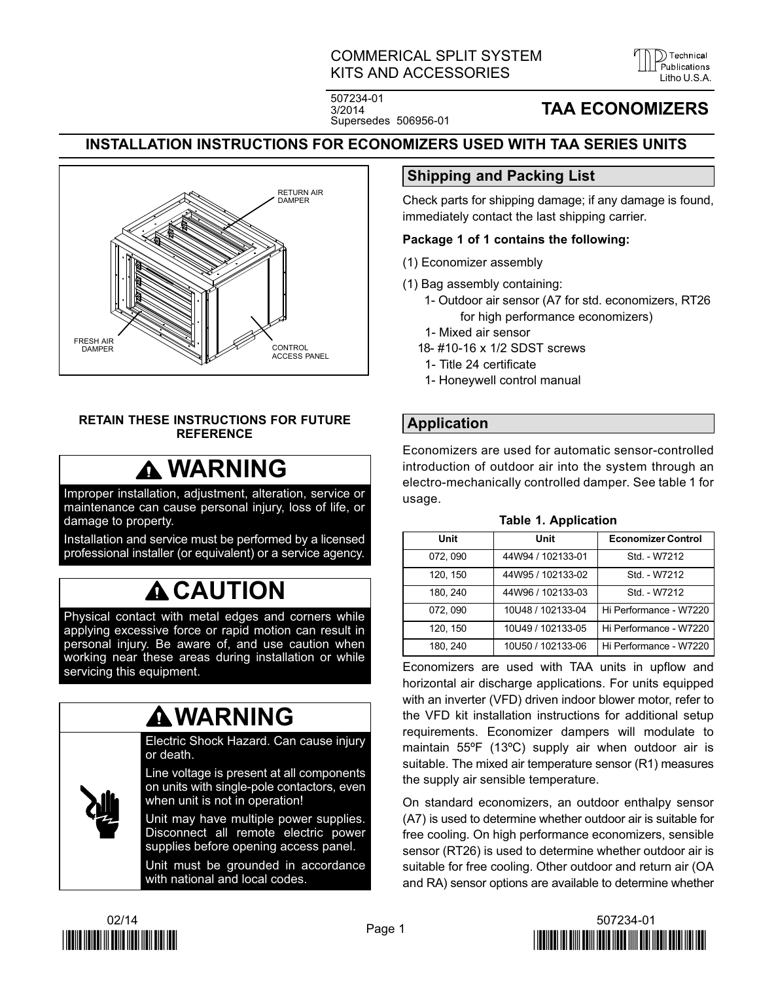# COMMERICAL SPLIT SYSTEM KITS AND ACCESSORIES LITTLE LITTLE LITTLE LITTLE LITTLE LITTLE LITTLE LITTLE LITTLE LITTLE LITTLE LITTLE LITTLE

)) Technical

507234-01 3/2014 Supersedes 506956-01

# **TAA ECONOMIZERS**

# **INSTALLATION INSTRUCTIONS FOR ECONOMIZERS USED WITH TAA SERIES UNITS**



#### **RETAIN THESE INSTRUCTIONS FOR FUTURE REFERENCE**

# **WARNING**

Improper installation, adjustment, alteration, service or maintenance can cause personal injury, loss of life, or damage to property.

Installation and service must be performed by a licensed professional installer (or equivalent) or a service agency.

# **A**CAUTION

Physical contact with metal edges and corners while applying excessive force or rapid motion can result in personal injury. Be aware of, and use caution when working near these areas during installation or while servicing this equipment.

# **WARNING**

Electric Shock Hazard. Can cause injury or death.

Line voltage is present at all components on units with single‐pole contactors, even when unit is not in operation!

Unit may have multiple power supplies. Disconnect all remote electric power supplies before opening access panel.

Unit must be grounded in accordance with national and local codes.

# **Shipping and Packing List**

Check parts for shipping damage; if any damage is found, immediately contact the last shipping carrier.

## **Package 1 of 1 contains the following:**

- (1) Economizer assembly
- (1) Bag assembly containing:
	- 1- Outdoor air sensor (A7 for std. economizers, RT26 for high performance economizers)
	- 1- Mixed air sensor
	- 18- #10-16 x 1/2 SDST screws
	- 1- Title 24 certificate
	- 1- Honeywell control manual

# **Application**

Economizers are used for automatic sensor-controlled introduction of outdoor air into the system through an electro-mechanically controlled damper. See table 1 for usage.

| Unit     | Unit              | <b>Economizer Control</b> |
|----------|-------------------|---------------------------|
| 072, 090 | 44W94 / 102133-01 | Std. - W7212              |
| 120, 150 | 44W95 / 102133-02 | Std. - W7212              |
| 180.240  | 44W96 / 102133-03 | Std. - W7212              |
| 072.090  | 10U48 / 102133-04 | Hi Performance - W7220    |
| 120.150  | 10U49 / 102133-05 | Hi Performance - W7220    |
| 180, 240 | 10U50 / 102133-06 | Hi Performance - W7220    |

#### **Table 1. Application**

Economizers are used with TAA units in upflow and horizontal air discharge applications. For units equipped with an inverter (VFD) driven indoor blower motor, refer to the VFD kit installation instructions for additional setup requirements. Economizer dampers will modulate to maintain 55ºF (13ºC) supply air when outdoor air is suitable. The mixed air temperature sensor (R1) measures the supply air sensible temperature.

On standard economizers, an outdoor enthalpy sensor (A7) is used to determine whether outdoor air is suitable for free cooling. On high performance economizers, sensible sensor (RT26) is used to determine whether outdoor air is suitable for free cooling. Other outdoor and return air (OA and RA) sensor options are available to determine whether



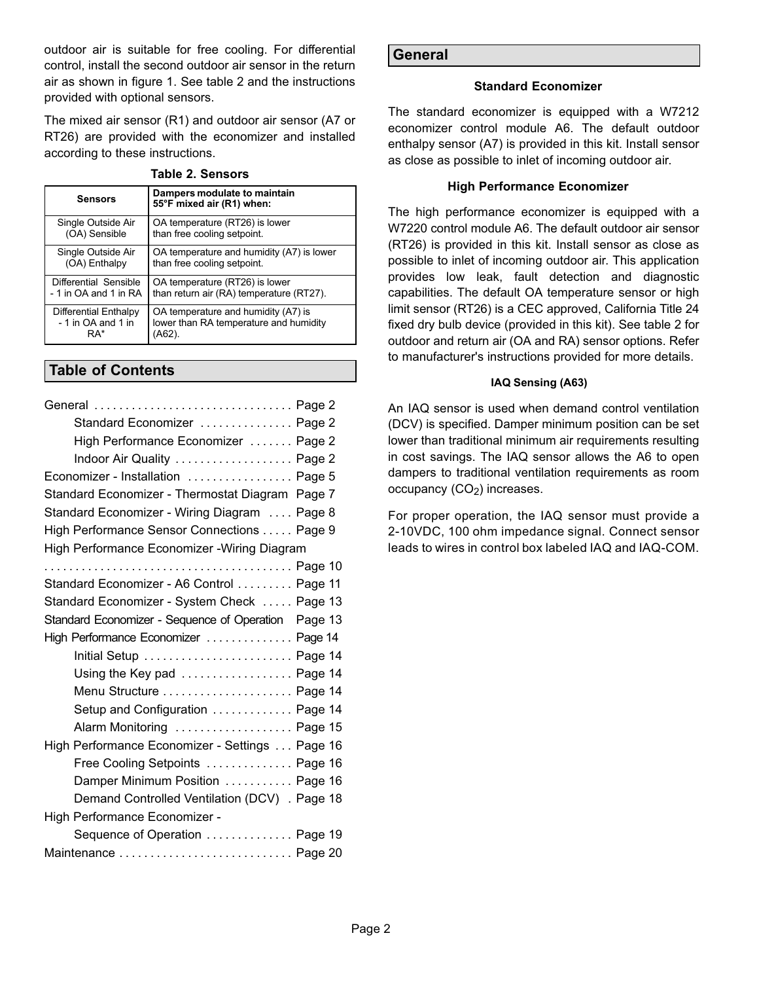outdoor air is suitable for free cooling. For differential control, install the second outdoor air sensor in the return air as shown in figure [1.](#page-3-0) See table 2 and the instructions provided with optional sensors.

The mixed air sensor (R1) and outdoor air sensor (A7 or RT26) are provided with the economizer and installed according to these instructions.

| <b>Sensors</b>        | Dampers modulate to maintain<br>55°F mixed air (R1) when: |  |  |
|-----------------------|-----------------------------------------------------------|--|--|
| Single Outside Air    | OA temperature (RT26) is lower                            |  |  |
| (OA) Sensible         | than free cooling setpoint.                               |  |  |
| Single Outside Air    | OA temperature and humidity (A7) is lower                 |  |  |
| (OA) Enthalpy         | than free cooling setpoint.                               |  |  |
| Differential Sensible | OA temperature (RT26) is lower                            |  |  |
| - 1 in OA and 1 in RA | than return air (RA) temperature (RT27).                  |  |  |
| Differential Enthalpy | OA temperature and humidity (A7) is                       |  |  |
| - 1 in OA and 1 in    | lower than RA temperature and humidity                    |  |  |
| RA*                   | (A62).                                                    |  |  |

#### **Table 2. Sensors**

## **Table of Contents**

| General  Page 2                                      |  |
|------------------------------------------------------|--|
| Standard Economizer  Page 2                          |  |
| High Performance Economizer  Page 2                  |  |
| Indoor Air Quality  Page 2                           |  |
| Economizer - Installation  Page 5                    |  |
| Standard Economizer - Thermostat Diagram Page 7      |  |
| Standard Economizer - Wiring Diagram  Page 8         |  |
| High Performance Sensor Connections Page 9           |  |
| High Performance Economizer - Wiring Diagram         |  |
|                                                      |  |
| Standard Economizer - A6 Control  Page 11            |  |
| Standard Economizer - System Check  Page 13          |  |
| Standard Economizer - Sequence of Operation  Page 13 |  |
|                                                      |  |
| High Performance Economizer  Page 14                 |  |
| Initial Setup  Page 14                               |  |
| Using the Key pad  Page 14                           |  |
| Menu Structure  Page 14                              |  |
| Setup and Configuration  Page 14                     |  |
| Alarm Monitoring  Page 15                            |  |
| High Performance Economizer - Settings Page 16       |  |
| Free Cooling Setpoints  Page 16                      |  |
| Damper Minimum Position  Page 16                     |  |
| Demand Controlled Ventilation (DCV) . Page 18        |  |
| High Performance Economizer -                        |  |
| Sequence of Operation  Page 19                       |  |

#### **General**

#### **Standard Economizer**

The standard economizer is equipped with a W7212 economizer control module A6. The default outdoor enthalpy sensor (A7) is provided in this kit. Install sensor as close as possible to inlet of incoming outdoor air.

#### **High Performance Economizer**

The high performance economizer is equipped with a W7220 control module A6. The default outdoor air sensor (RT26) is provided in this kit. Install sensor as close as possible to inlet of incoming outdoor air. This application provides low leak, fault detection and diagnostic capabilities. The default OA temperature sensor or high limit sensor (RT26) is a CEC approved, California Title 24 fixed dry bulb device (provided in this kit). See table 2 for outdoor and return air (OA and RA) sensor options. Refer to manufacturer's instructions provided for more details.

### **IAQ Sensing (A63)**

An IAQ sensor is used when demand control ventilation (DCV) is specified. Damper minimum position can be set lower than traditional minimum air requirements resulting in cost savings. The IAQ sensor allows the A6 to open dampers to traditional ventilation requirements as room occupancy  $(CO<sub>2</sub>)$  increases.

For proper operation, the IAQ sensor must provide a 2-10VDC, 100 ohm impedance signal. Connect sensor leads to wires in control box labeled IAQ and IAQ-COM.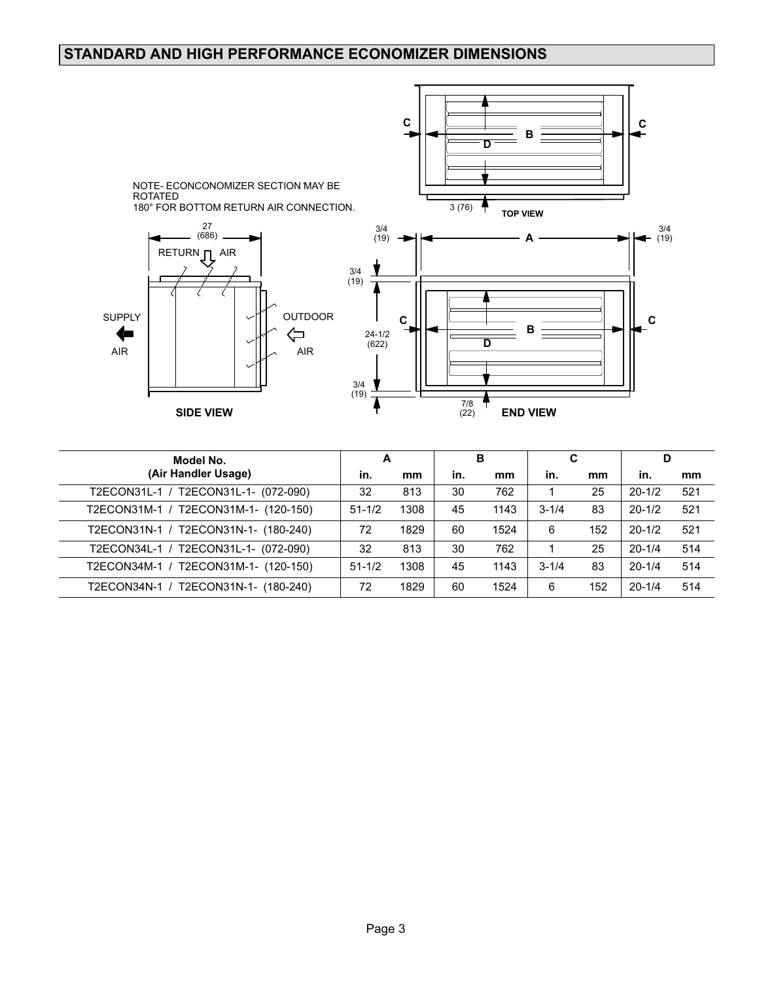# **STANDARD AND HIGH PERFORMANCE ECONOMIZER DIMENSIONS**



| Model No.                               |            | А    |     | в    |           | C   |            | D   |  |
|-----------------------------------------|------------|------|-----|------|-----------|-----|------------|-----|--|
| (Air Handler Usage)                     | in.        | mm   | in. | mm   | in.       | mm  | in.        | mm  |  |
| T2ECON31L-1 / T2ECON31L-1- (072-090)    | 32         | 813  | 30  | 762  |           | 25  | $20 - 1/2$ | 521 |  |
| T2ECON31M-1 / T2ECON31M-1- (120-150)    | $51 - 1/2$ | 1308 | 45  | 1143 | $3 - 1/4$ | 83  | $20 - 1/2$ | 521 |  |
| T2ECON31N-1 / T2ECON31N-1- (180-240)    | 72         | 1829 | 60  | 1524 | 6         | 152 | $20 - 1/2$ | 521 |  |
| T2ECON31L-1- (072-090)<br>T2ECON34L-1 / | 32         | 813  | 30  | 762  |           | 25  | $20 - 1/4$ | 514 |  |
| T2ECON34M-1 / T2ECON31M-1- (120-150)    | $51 - 1/2$ | 1308 | 45  | 1143 | $3 - 1/4$ | 83  | $20 - 1/4$ | 514 |  |
| T2ECON34N-1 / T2ECON31N-1- (180-240)    | 72         | 1829 | 60  | 1524 | 6         | 152 | $20 - 1/4$ | 514 |  |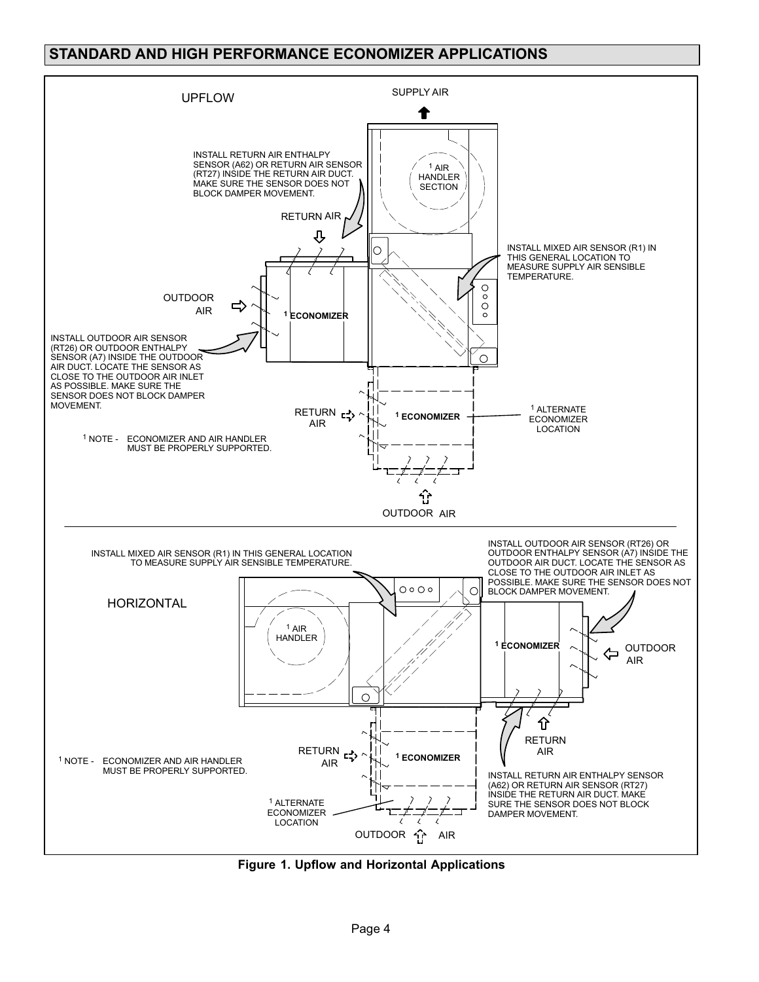# <span id="page-3-0"></span>**STANDARD AND HIGH PERFORMANCE ECONOMIZER APPLICATIONS**



**Figure 1. Upflow and Horizontal Applications**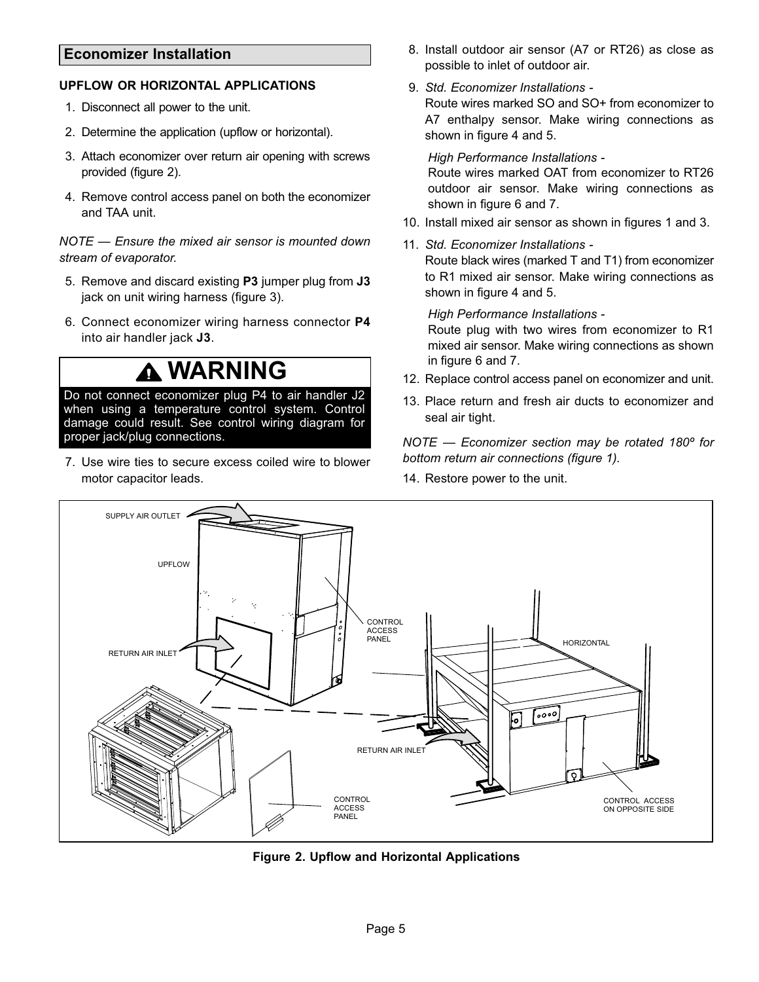# <span id="page-4-0"></span>**Economizer Installation**

## **UPFLOW OR HORIZONTAL APPLICATIONS**

- 1. Disconnect all power to the unit.
- 2. Determine the application (upflow or horizontal).
- 3. Attach economizer over return air opening with screws provided (figure 2).
- 4. Remove control access panel on both the economizer and TAA unit.

*NOTE — Ensure the mixed air sensor is mounted down stream of evaporator.*

- 5. Remove and discard existing **P3** jumper plug from **J3** jack on unit wiring harness (figure [3](#page-5-0)).
- 6. Connect economizer wiring harness connector **P4** into air handler jack **J3**.

# **WARNING**

Do not connect economizer plug P4 to air handler J2 when using a temperature control system. Control damage could result. See control wiring diagram for proper jack/plug connections.

7. Use wire ties to secure excess coiled wire to blower motor capacitor leads.

- 8. Install outdoor air sensor (A7 or RT26) as close as possible to inlet of outdoor air.
- 9. *Std. Economizer Installations -*

Route wires marked SO and SO+ from economizer to A7 enthalpy sensor. Make wiring connections as shown in figure [4](#page-6-0) and [5](#page-7-0).

#### *High Performance Installations -*

Route wires marked OAT from economizer to RT26 outdoor air sensor. Make wiring connections as shown in figure [6](#page-8-0) and [7.](#page-9-0)

- 10. Install mixed air sensor as shown in figures [1](#page-3-0) and [3](#page-5-0).
- 11. *Std. Economizer Installations -* Route black wires (marked T and T1) from economizer to R1 mixed air sensor. Make wiring connections as shown in figure [4](#page-6-0) and [5](#page-7-0).

#### *High Performance Installations -*

Route plug with two wires from economizer to R1 mixed air sensor. Make wiring connections as shown in figure [6](#page-8-0) and [7](#page-9-0).

- 12. Replace control access panel on economizer and unit.
- 13. Place return and fresh air ducts to economizer and seal air tight.

*NOTE — Economizer section may be rotated 180º for bottom return air connections (figure [1](#page-3-0)).*

14. Restore power to the unit.



**Figure 2. Upflow and Horizontal Applications**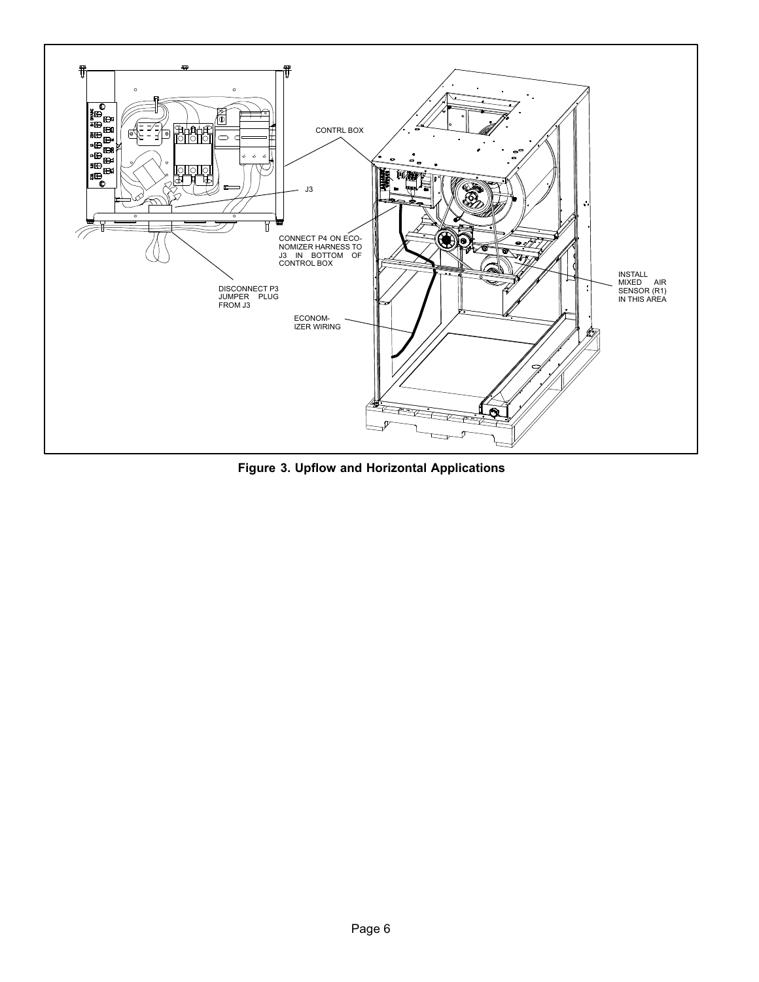<span id="page-5-0"></span>

**Figure 3. Upflow and Horizontal Applications**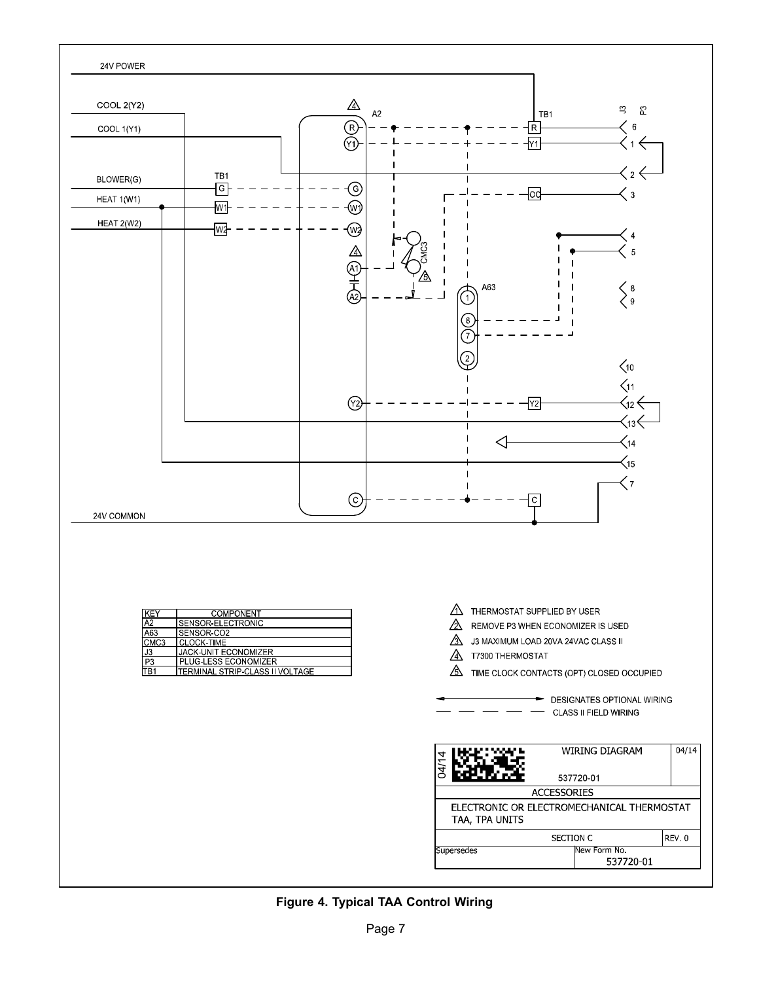<span id="page-6-0"></span>

# **Figure 4. Typical TAA Control Wiring**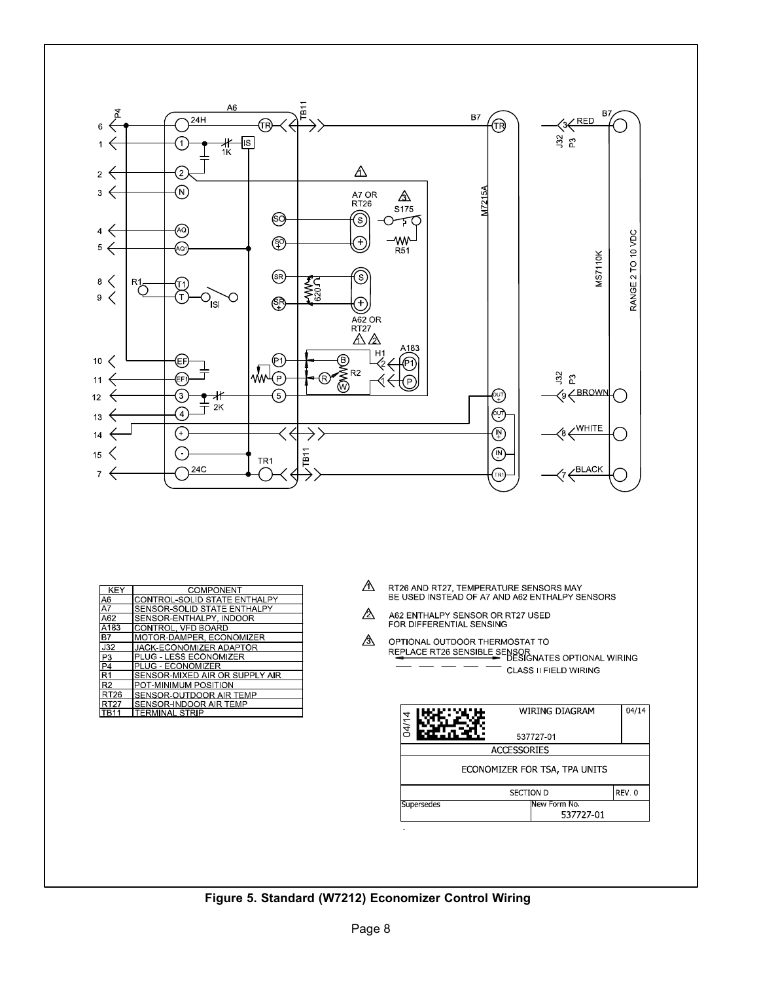<span id="page-7-0"></span>

| KEY             | COMPONENT                      |
|-----------------|--------------------------------|
| A6              | CONTROL-SOLID STATE ENTHALPY   |
| $\overline{A7}$ | SENSOR-SOLID STATE ENTHALPY    |
| A62             | SENSOR-ENTHALPY, INDOOR        |
| A183            | CONTROL, VFD BOARD             |
| B7              | MOTOR-DAMPER, ECONOMIZER       |
| J32             | JACK ECONOMIZER ADAPTOR        |
| P <sub>3</sub>  | PLUG - LESS ECONOMIZER         |
| P <sub>4</sub>  | PLUG - ECONOMIZER              |
| $\overline{R1}$ | SENSOR MIXED AIR OR SUPPLY AIR |
| R <sub>2</sub>  | POT-MINIMUM POSITION           |
| RT26            | SENSOR-OUTDOOR AIR TEMP        |
| RT27            | SENSOR-INDOOR AIR TEMP         |
| TR11            | <b>TERMINAL STRIP</b>          |

- ⚠ RT26 AND RT27, TEMPERATURE SENSORS MAY<br>BE USED INSTEAD OF A7 AND A62 ENTHALPY SENSORS
- ⚠ A62 ENTHALPY SENSOR OR RT27 USED<br>FOR DIFFERENTIAL SENSING
- ⚠ OPTIONAL OUTDOOR THERMOSTAT TO CLASS II FIELD WIRING

| WIRING DIAGRAM                | 04/14 |  |
|-------------------------------|-------|--|
| 537727-01                     |       |  |
| <b>ACCESSORIES</b>            |       |  |
| ECONOMIZER FOR TSA, TPA UNITS |       |  |
| <b>SECTION D</b>              | REV 0 |  |
| lNew Form No<br>537727-01     |       |  |
|                               |       |  |

## **Figure 5. Standard (W7212) Economizer Control Wiring**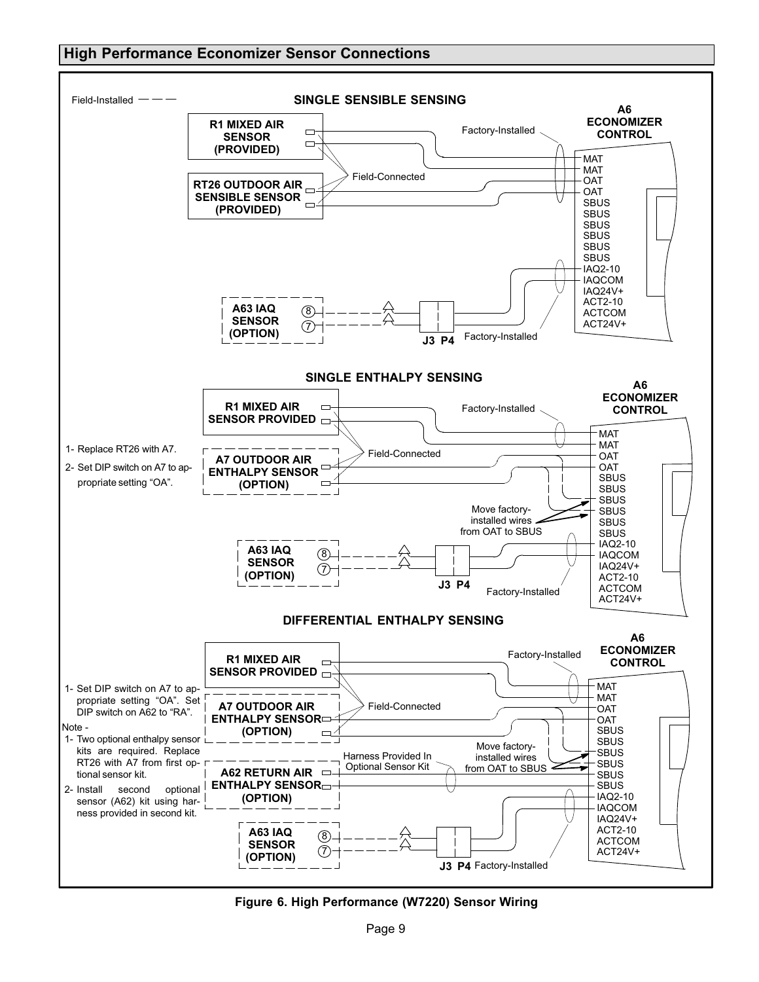## <span id="page-8-0"></span>**High Performance Economizer Sensor Connections**



**Figure 6. High Performance (W7220) Sensor Wiring**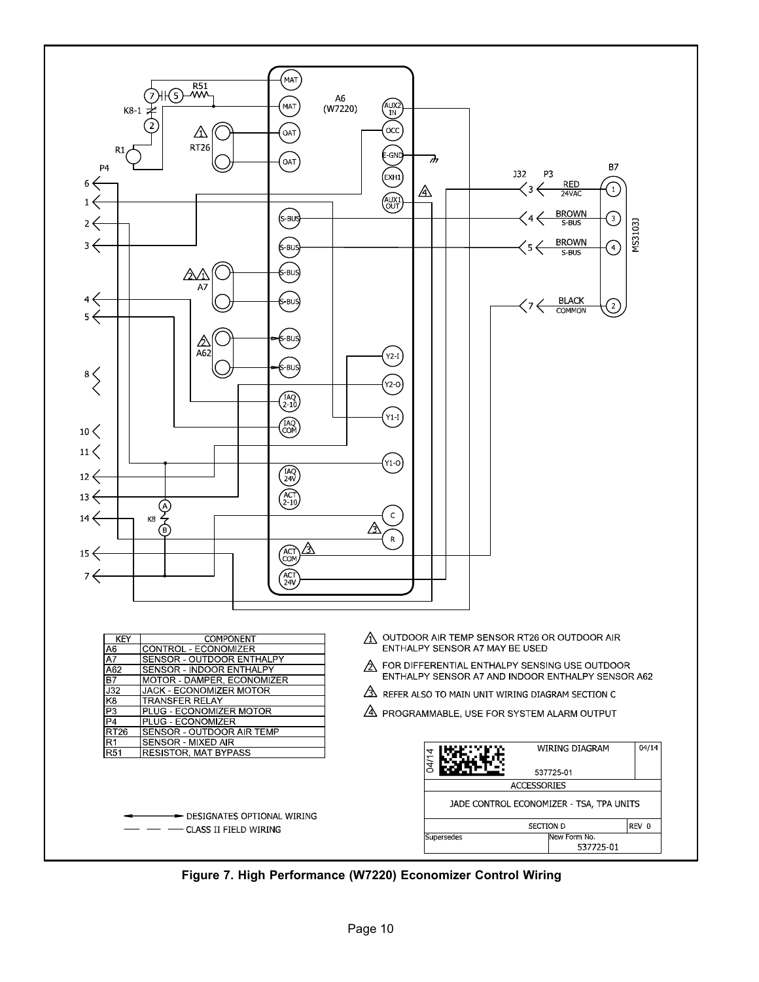<span id="page-9-0"></span>

**Figure 7. High Performance (W7220) Economizer Control Wiring**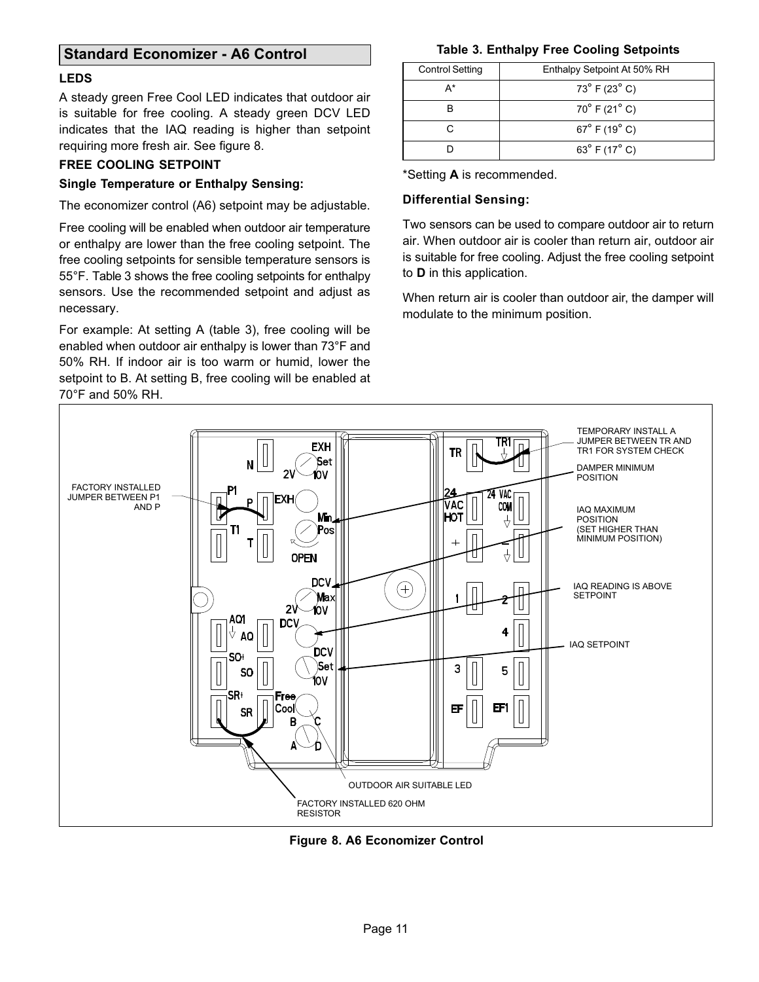# <span id="page-10-0"></span>**Standard Economizer - A6 Control**

### **LEDS**

A steady green Free Cool LED indicates that outdoor air is suitable for free cooling. A steady green DCV LED indicates that the IAQ reading is higher than setpoint requiring more fresh air. See figure 8.

## **FREE COOLING SETPOINT**

#### **Single Temperature or Enthalpy Sensing:**

The economizer control (A6) setpoint may be adjustable.

Free cooling will be enabled when outdoor air temperature or enthalpy are lower than the free cooling setpoint. The free cooling setpoints for sensible temperature sensors is 55°F. Table 3 shows the free cooling setpoints for enthalpy sensors. Use the recommended setpoint and adjust as necessary.

For example: At setting A (table 3), free cooling will be enabled when outdoor air enthalpy is lower than 73°F and 50% RH. If indoor air is too warm or humid, lower the setpoint to B. At setting B, free cooling will be enabled at 70°F and 50% RH.

### **Table 3. Enthalpy Free Cooling Setpoints**

| <b>Control Setting</b> | Enthalpy Setpoint At 50% RH      |
|------------------------|----------------------------------|
| А*                     | $73^{\circ}$ F (23 $^{\circ}$ C) |
|                        | $70^{\circ}$ F (21 $^{\circ}$ C) |
|                        | $67^{\circ}$ F (19 $^{\circ}$ C) |
|                        | $63^{\circ}$ F (17 $^{\circ}$ C) |

\*Setting **A** is recommended.

### **Differential Sensing:**

Two sensors can be used to compare outdoor air to return air. When outdoor air is cooler than return air, outdoor air is suitable for free cooling. Adjust the free cooling setpoint to **D** in this application.

When return air is cooler than outdoor air, the damper will modulate to the minimum position.



**Figure 8. A6 Economizer Control**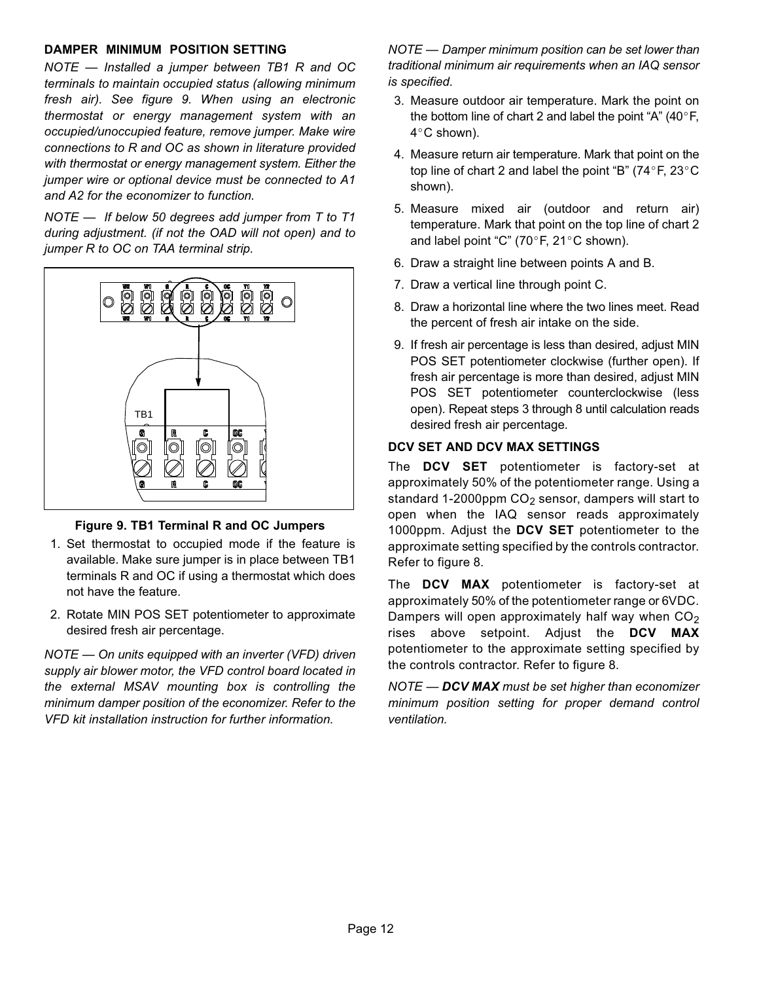## **DAMPER MINIMUM POSITION SETTING**

*NOTE — Installed a jumper between TB1 R and OC terminals to maintain occupied status (allowing minimum fresh air). See figure 9. When using an electronic thermostat or energy management system with an occupied/unoccupied feature, remove jumper. Make wire connections to R and OC as shown in literature provided with thermostat or energy management system. Either the jumper wire or optional device must be connected to A1 and A2 for the economizer to function.*

*NOTE — If below 50 degrees add jumper from T to T1 during adjustment. (if not the OAD will not open) and to jumper R to OC on TAA terminal strip.*



## **Figure 9. TB1 Terminal R and OC Jumpers**

- 1. Set thermostat to occupied mode if the feature is available. Make sure jumper is in place between TB1 terminals R and OC if using a thermostat which does not have the feature.
- 2. Rotate MIN POS SET potentiometer to approximate desired fresh air percentage.

*NOTE — On units equipped with an inverter (VFD) driven supply air blower motor, the VFD control board located in the external MSAV mounting box is controlling the minimum damper position of the economizer. Refer to the VFD kit installation instruction for further information.*

*NOTE — Damper minimum position can be set lower than traditional minimum air requirements when an IAQ sensor is specified.*

- 3. Measure outdoor air temperature. Mark the point on Measure outdoor air temperature. Mark the point on<br>the bottom line of chart 2 and label the point "A" (40°F,<br>4°C shown).  $4^{\circ}$ C shown).
- 4. Measure return air temperature. Mark that point on the Measure return air temperature. Mark that point on the<br>top line of chart 2 and label the point "B" (74°F, 23°C shown).
- 5. Measure mixed air (outdoor and return air) temperature. Mark that point on the top line of chart 2<br>and label point "C" (70°F, 21°C shown). and label point "C" (70 $\degree$ F, 21 $\degree$ C shown).
- 6. Draw a straight line between points A and B.
- 7. Draw a vertical line through point C.
- 8. Draw a horizontal line where the two lines meet. Read the percent of fresh air intake on the side.
- 9. If fresh air percentage is less than desired, adjust MIN POS SET potentiometer clockwise (further open). If fresh air percentage is more than desired, adjust MIN POS SET potentiometer counterclockwise (less open). Repeat steps 3 through 8 until calculation reads desired fresh air percentage*.*

## **DCV SET AND DCV MAX SETTINGS**

The **DCV SET** potentiometer is factory-set at approximately 50% of the potentiometer range. Using a standard 1-2000ppm  $CO<sub>2</sub>$  sensor, dampers will start to open when the IAQ sensor reads approximately 1000ppm. Adjust the **DCV SET** potentiometer to the approximate setting specified by the controls contractor. Refer to figure [8.](#page-10-0)

The **DCV MAX** potentiometer is factory-set at approximately 50% of the potentiometer range or 6VDC. Dampers will open approximately half way when  $CO<sub>2</sub>$ rises above setpoint. Adjust the **DCV MAX** potentiometer to the approximate setting specified by the controls contractor. Refer to figure [8.](#page-10-0)

*NOTE — DCV MAX must be set higher than economizer minimum position setting for proper demand control ventilation.*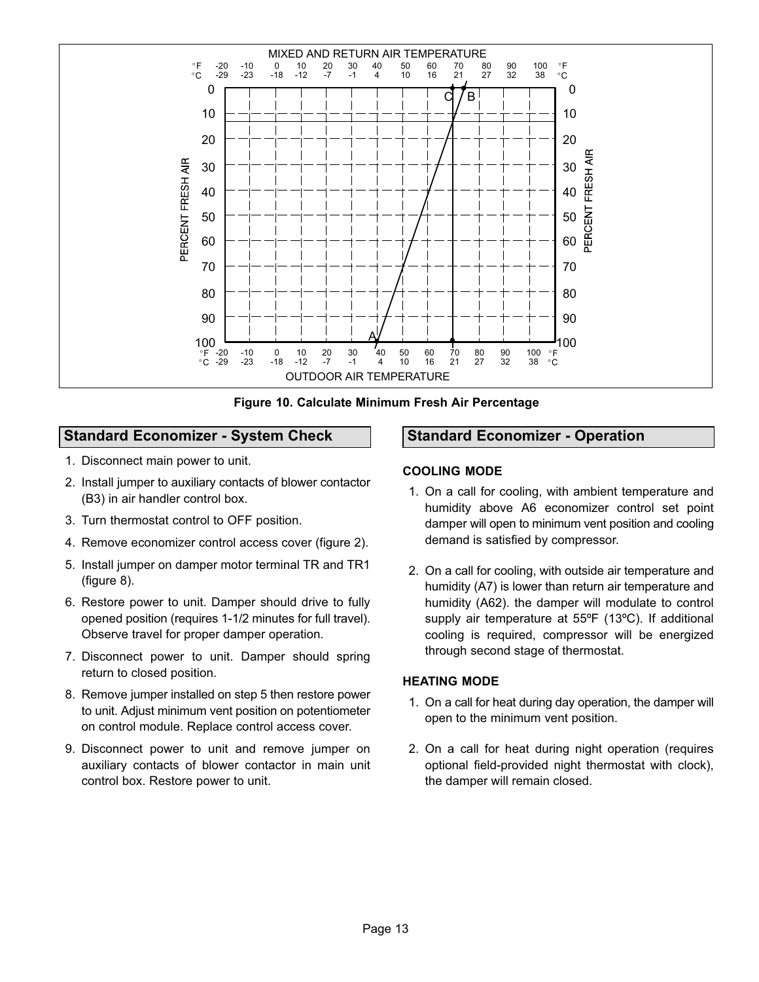<span id="page-12-0"></span>

**Figure 10. Calculate Minimum Fresh Air Percentage**

# **Standard Economizer - System Check**

- 1. Disconnect main power to unit.
- 2. Install jumper to auxiliary contacts of blower contactor (B3) in air handler control box.
- 3. Turn thermostat control to OFF position.
- 4. Remove economizer control access cover (figure [2](#page-4-0)).
- 5. Install jumper on damper motor terminal TR and TR1 (figure [8](#page-10-0)).
- 6. Restore power to unit. Damper should drive to fully opened position (requires 1-1/2 minutes for full travel). Observe travel for proper damper operation.
- 7. Disconnect power to unit. Damper should spring return to closed position.
- 8. Remove jumper installed on step 5 then restore power to unit. Adjust minimum vent position on potentiometer on control module. Replace control access cover.
- 9. Disconnect power to unit and remove jumper on auxiliary contacts of blower contactor in main unit control box. Restore power to unit.

# **Standard Economizer - Operation**

## **COOLING MODE**

- 1. On a call for cooling, with ambient temperature and humidity above A6 economizer control set point damper will open to minimum vent position and cooling demand is satisfied by compressor.
- 2. On a call for cooling, with outside air temperature and humidity (A7) is lower than return air temperature and humidity (A62). the damper will modulate to control supply air temperature at 55ºF (13ºC). If additional cooling is required, compressor will be energized through second stage of thermostat.

## **HEATING MODE**

- 1. On a call for heat during day operation, the damper will open to the minimum vent position.
- 2. On a call for heat during night operation (requires optional field-provided night thermostat with clock), the damper will remain closed.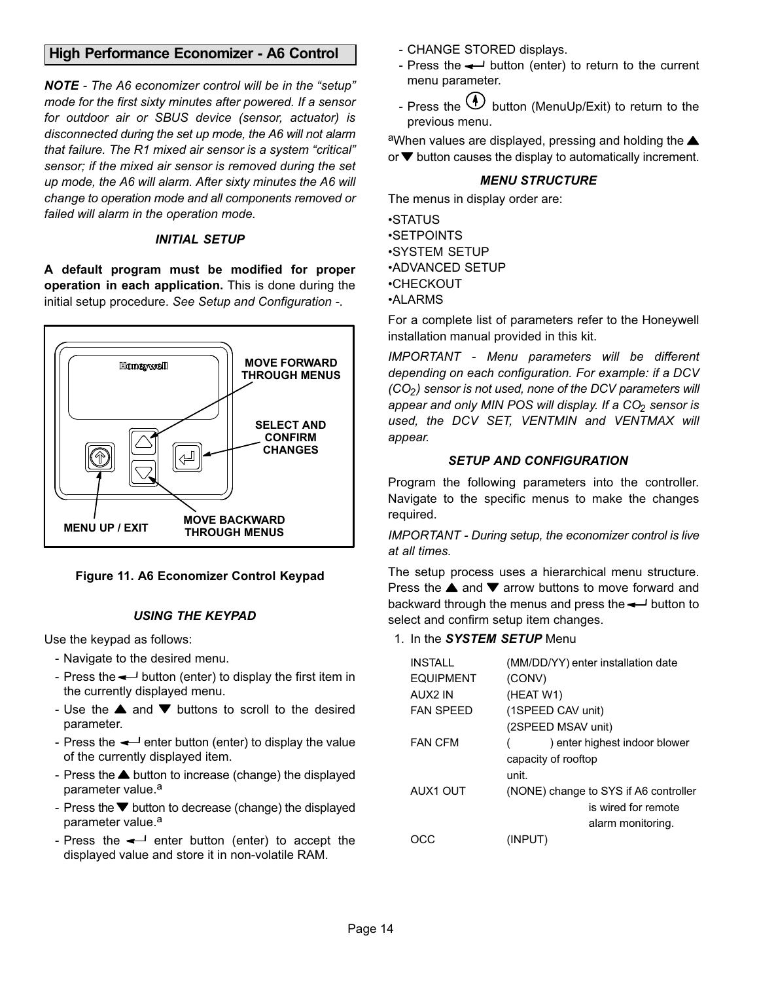# <span id="page-13-0"></span>**High Performance Economizer - A6 Control**

*NOTE - The A6 economizer control will be in the "setup" mode for the first sixty minutes after powered. If a sensor for outdoor air or SBUS device (sensor, actuator) is disconnected during the set up mode, the A6 will not alarm that failure. The R1 mixed air sensor is a system "critical" sensor; if the mixed air sensor is removed during the set up mode, the A6 will alarm. After sixty minutes the A6 will change to operation mode and all components removed or failed will alarm in the operation mode.*

## *INITIAL SETUP*

**A default program must be modified for proper operation in each application.** This is done during the initial setup procedure. *See Setup and Configuration* .



## **Figure 11. A6 Economizer Control Keypad**

## *USING THE KEYPAD*

Use the keypad as follows:

- Navigate to the desired menu.
- Press the  $\leftarrow$  button (enter) to display the first item in the currently displayed menu.
- Use the  $\triangle$  and  $\nabla$  buttons to scroll to the desired parameter.
- Press the  $\leftarrow$  enter button (enter) to display the value of the currently displayed item.
- Press the  $\triangle$  button to increase (change) the displayed parameter value.<sup>a</sup>
- Press the  $\blacktriangledown$  button to decrease (change) the displayed parameter value.<sup>a</sup>
- Press the  $\leftarrow$  enter button (enter) to accept the displayed value and store it in non-volatile RAM.
- CHANGE STORED displays.
- Press the  $\leftarrow$  button (enter) to return to the current menu parameter.
- Press the  $\bigoplus$  button (MenuUp/Exit) to return to the previous menu.

aWhen values are displayed, pressing and holding the  $\triangle$ or  $\blacktriangledown$  button causes the display to automatically increment.

#### *MENU STRUCTURE*

The menus in display order are:

•STATUS •SETPOINTS •SYSTEM SETUP •ADVANCED SETUP •CHECKOUT •ALARMS

For a complete list of parameters refer to the Honeywell installation manual provided in this kit.

*IMPORTANT - Menu parameters will be different depending on each configuration. For example: if a DCV (CO2) sensor is not used, none of the DCV parameters will* appear and only MIN POS will display. If a CO<sub>2</sub> sensor is *used, the DCV SET, VENTMIN and VENTMAX will appear.*

### *SETUP AND CONFIGURATION*

Program the following parameters into the controller. Navigate to the specific menus to make the changes required.

*IMPORTANT - During setup, the economizer control is live at all times.*

The setup process uses a hierarchical menu structure. Press the  $\blacktriangle$  and  $\nabla$  arrow buttons to move forward and backward through the menus and press the  $\leftarrow$  button to select and confirm setup item changes.

#### 1. In the *SYSTEM SETUP* Menu

| (MM/DD/YY) enter installation date    |
|---------------------------------------|
| (CONV)                                |
| (HEAT W1)                             |
| (1SPEED CAV unit)                     |
| (2SPEED MSAV unit)                    |
| ) enter highest indoor blower         |
| capacity of rooftop                   |
| unit.                                 |
| (NONE) change to SYS if A6 controller |
| is wired for remote                   |
| alarm monitoring.                     |
| (INPUT)                               |
|                                       |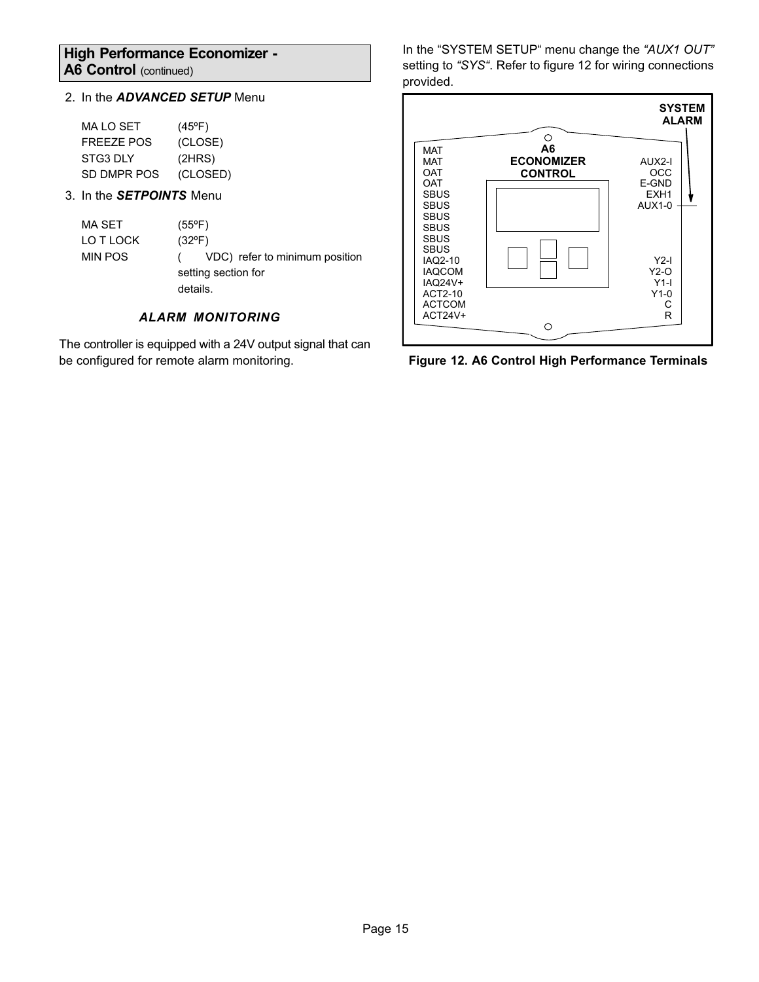## <span id="page-14-0"></span>**High Performance Economizer -** A6 Control (continued)

## 2. In the *ADVANCED SETUP* Menu

| MA LO SET   | $(45^{\circ}F)$ |
|-------------|-----------------|
| FRFF7F POS  | (CLOSE)         |
| STG3 DLY    | (2HRS)          |
| SD DMPR POS | (CLOSED)        |

3. In the *SETPOINTS* Menu

| MA SET         | $(55^{\circ}F)$                |
|----------------|--------------------------------|
| LO T LOCK      | $(32^{\circ}F)$                |
| <b>MIN POS</b> | VDC) refer to minimum position |
|                | setting section for            |
|                | details.                       |

## *ALARM MONITORING*

The controller is equipped with a 24V output signal that can be configured for remote alarm monitoring.

In the "SYSTEM SETUP" menu change the *"AUX1 OUT"* setting to *"SYS"*. Refer to figure 12 for wiring connections provided.



**Figure 12. A6 Control High Performance Terminals**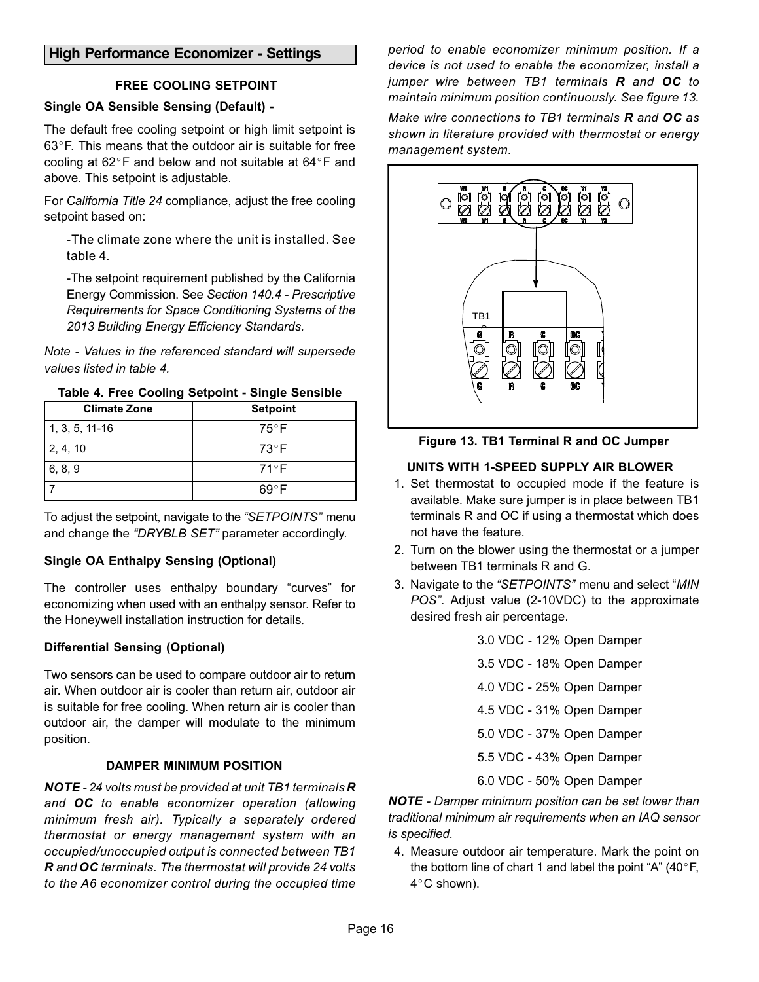## <span id="page-15-0"></span>**High Performance Economizer - Settings**

## **FREE COOLING SETPOINT**

# **Single OA Sensible Sensing (Default)**

The default free cooling setpoint or high limit setpoint is<br>63°F. This means that the outdoor air is suitable for free 63°F. This means that the outdoor air is suitable for free<br>cooling at 62°F and below and not suitable at 64°F and cooling at 62 $\degree$ F and below and not suitable at 64 $\degree$ F and above. This setpoint is adjustable.

For *California Title 24* compliance, adjust the free cooling setpoint based on:

-The climate zone where the unit is installed. See table 4.

-The setpoint requirement published by the California Energy Commission. See *Section 140.4 - Prescriptive Requirements for Space Conditioning Systems of the 2013 Building Energy Efficiency Standards.*

*Note - Values in the referenced standard will supersede values listed in table 4.*

| Table 4. Free Cooling Setpoint - Single Sensible |
|--------------------------------------------------|
|--------------------------------------------------|

| <b>Climate Zone</b> | <b>Setpoint</b> |
|---------------------|-----------------|
| $1, 3, 5, 11-16$    | $75^{\circ}$ F  |
| 2, 4, 10            | $73^{\circ}$ F  |
| 6, 8, 9             | 71°F            |
|                     | 69°F            |

To adjust the setpoint, navigate to the *"SETPOINTS"* menu and change the *"DRYBLB SET"* parameter accordingly.

## **Single OA Enthalpy Sensing (Optional)**

The controller uses enthalpy boundary "curves" for economizing when used with an enthalpy sensor. Refer to the Honeywell installation instruction for details.

## **Differential Sensing (Optional)**

Two sensors can be used to compare outdoor air to return air. When outdoor air is cooler than return air, outdoor air is suitable for free cooling. When return air is cooler than outdoor air, the damper will modulate to the minimum position.

## **DAMPER MINIMUM POSITION**

*NOTE - 24 volts must be provided at unit TB1 terminals R and OC to enable economizer operation (allowing minimum fresh air). Typically a separately ordered thermostat or energy management system with an occupied/unoccupied output is connected between TB1 R and OC terminals. The thermostat will provide 24 volts to the A6 economizer control during the occupied time*

*period to enable economizer minimum position. If a device is not used to enable the economizer, install a jumper wire between TB1 terminals R and OC to maintain minimum position continuously. See figure 13.*

*Make wire connections to TB1 terminals R and OC as shown in literature provided with thermostat or energy management system.*





## **UNITS WITH 1-SPEED SUPPLY AIR BLOWER**

- 1. Set thermostat to occupied mode if the feature is available. Make sure jumper is in place between TB1 terminals R and OC if using a thermostat which does not have the feature.
- 2. Turn on the blower using the thermostat or a jumper between TB1 terminals R and G.
- 3. Navigate to the *"SETPOINTS"* menu and select "*MIN POS"*. Adjust value (2-10VDC) to the approximate desired fresh air percentage.

| 3.0 VDC - 12% Open Damper |
|---------------------------|
| 3.5 VDC - 18% Open Damper |
| 4.0 VDC - 25% Open Damper |
| 4.5 VDC - 31% Open Damper |
| 5.0 VDC - 37% Open Damper |
| 5.5 VDC - 43% Open Damper |
| 6.0 VDC - 50% Open Damper |

*NOTE - Damper minimum position can be set lower than traditional minimum air requirements when an IAQ sensor is specified.*

4. Measure outdoor air temperature. Mark the point on the bottom line of chart 1 and label the point "A"  $(40^{\circ}F,$ the bottom line of chart 1 and label the point "A" (40°F,<br>4°C shown).  $4^{\circ}$ C shown).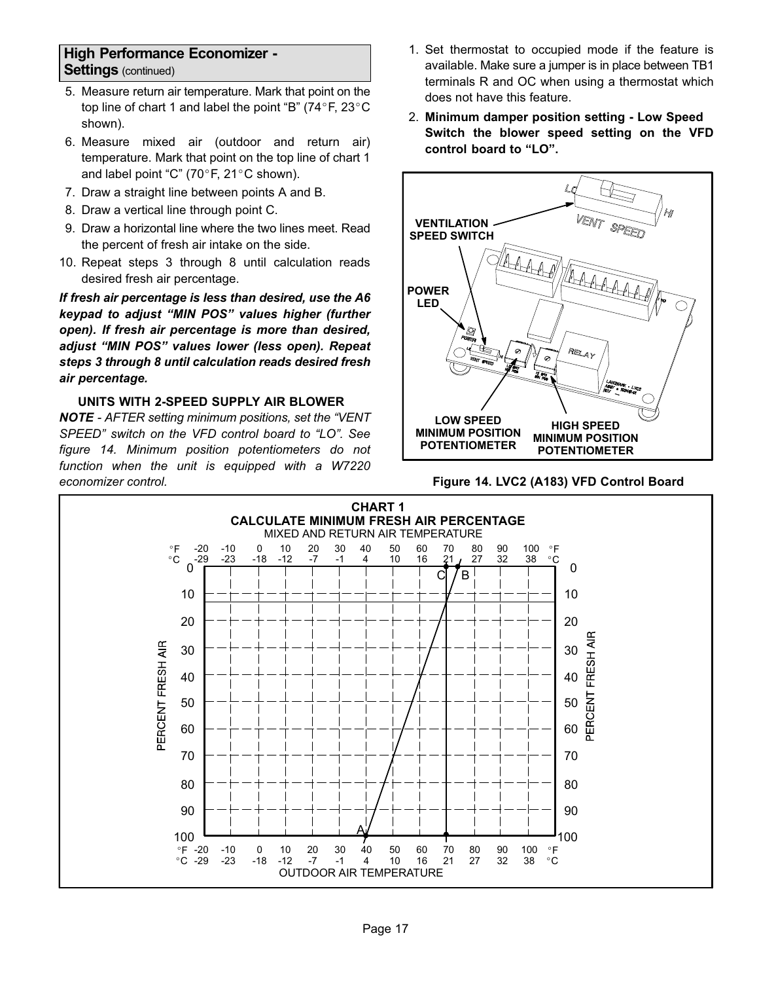## **High Performance Economizer - Settings** (continued)

- 5. Measure return air temperature. Mark that point on the top line of chart 1 and label the point "B"  $(74^{\circ}F, 23^{\circ}C)$ top line of chart 1 and label the point "B" (74 $\degree$ F, 23 $\degree$ C shown).
- 6. Measure mixed air (outdoor and return air) temperature. Mark that point on the top line of chart 1<br>and label point "C" (70°F, 21°C shown). and label point "C" (70 $\degree$ F, 21 $\degree$ C shown).
- 7. Draw a straight line between points A and B.
- 8. Draw a vertical line through point C.
- 9. Draw a horizontal line where the two lines meet. Read the percent of fresh air intake on the side.
- 10. Repeat steps 3 through 8 until calculation reads desired fresh air percentage.

*If fresh air percentage is less than desired, use the A6 keypad to adjust "MIN POS" values higher (further open). If fresh air percentage is more than desired, adjust "MIN POS" values lower (less open). Repeat steps 3 through 8 until calculation reads desired fresh air percentage.*

## **UNITS WITH 2-SPEED SUPPLY AIR BLOWER**

*NOTE - AFTER setting minimum positions, set the "VENT SPEED" switch on the VFD control board to "LO". See figure 14. Minimum position potentiometers do not function when the unit is equipped with a W7220 economizer control.*

- 1. Set thermostat to occupied mode if the feature is available. Make sure a jumper is in place between TB1 terminals R and OC when using a thermostat which does not have this feature.
- 2. **Minimum damper position setting Low Speed Switch the blower speed setting on the VFD control board to "LO".**



**Figure 14. LVC2 (A183) VFD Control Board**

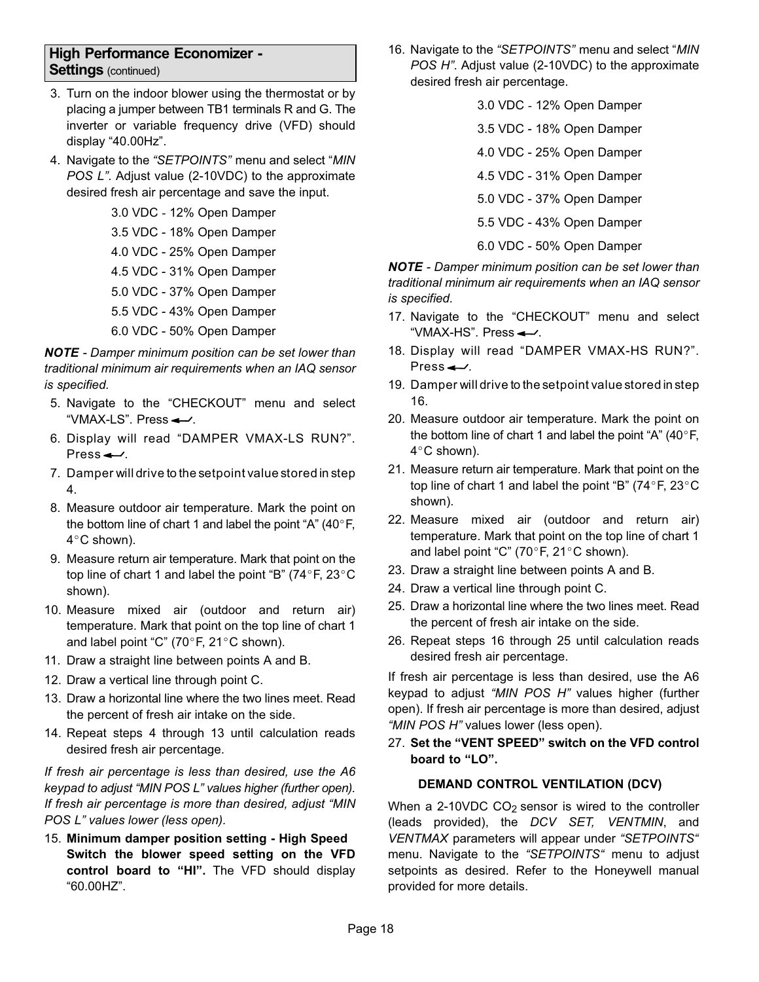## <span id="page-17-0"></span>**High Performance Economizer - Settings** (continued)

- 3. Turn on the indoor blower using the thermostat or by placing a jumper between TB1 terminals R and G. The inverter or variable frequency drive (VFD) should display "40.00Hz".
- 4. Navigate to the *"SETPOINTS"* menu and select "*MIN POS L"*. Adjust value (2-10VDC) to the approximate desired fresh air percentage and save the input.

3.0 VDC - 12% Open Damper 3.5 VDC - 18% Open Damper

- 4.0 VDC 25% Open Damper
- 4.5 VDC 31% Open Damper
- 5.0 VDC 37% Open Damper
- 5.5 VDC 43% Open Damper
- 6.0 VDC 50% Open Damper

*NOTE - Damper minimum position can be set lower than traditional minimum air requirements when an IAQ sensor is specified.*

- 5. Navigate to the "CHECKOUT" menu and select "VMAX-LS". Press $\leftarrow$ .
- 6. Display will read "DAMPER VMAX-LS RUN?". Press $\leftarrow$ .
- 7. Damper will drive to the setpoint value stored in step 4.
- 8. Measure outdoor air temperature. Mark the point on the bottom line of chart 1 and label the point "A"  $(40^{\circ}F,$ the bottom line of chart 1 and label the point "A" (40°F,<br>4°C shown).  $4^{\circ}$ C shown).
- 9. Measure return air temperature. Mark that point on the top line of chart 1 and label the point "B" ( $74^{\circ}$ F,  $23^{\circ}$ C top line of chart 1 and label the point "B" (74 $\degree$ F, 23 $\degree$ C shown).
- 10. Measure mixed air (outdoor and return air) temperature. Mark that point on the top line of chart 1<br>and label point "C" (70°F, 21°C shown). and label point "C" (70 $\degree$ F, 21 $\degree$ C shown).
- 11. Draw a straight line between points A and B.
- 12. Draw a vertical line through point C.
- 13. Draw a horizontal line where the two lines meet. Read the percent of fresh air intake on the side.
- 14. Repeat steps 4 through 13 until calculation reads desired fresh air percentage.

*If fresh air percentage is less than desired, use the A6 keypad to adjust "MIN POS L" values higher (further open). If fresh air percentage is more than desired, adjust "MIN POS L" values lower (less open).*

15. **Minimum damper position setting - High Speed Switch the blower speed setting on the VFD control board to "HI".** The VFD should display "60.00HZ".

- 16. Navigate to the *"SETPOINTS"* menu and select "*MIN POS H"*. Adjust value (2-10VDC) to the approximate desired fresh air percentage.
	- 3.0 VDC 12% Open Damper
	- 3.5 VDC 18% Open Damper
	- 4.0 VDC 25% Open Damper
	- 4.5 VDC 31% Open Damper
	- 5.0 VDC 37% Open Damper
	- 5.5 VDC 43% Open Damper
	- 6.0 VDC 50% Open Damper

*NOTE - Damper minimum position can be set lower than traditional minimum air requirements when an IAQ sensor is specified.*

- 17. Navigate to the "CHECKOUT" menu and select "VMAX-HS". Press $\leftarrow$ .
- 18. Display will read "DAMPER VMAX-HS RUN?". Press $\leftarrow$ .
- 19. Damper will drive to the setpoint value stored in step 16.
- 20. Measure outdoor air temperature. Mark the point on Measure outdoor air temperature. Mark the point on<br>the bottom line of chart 1 and label the point "A" (40°F,<br>4°C shown).  $4^{\circ}$ C shown).
- 21. Measure return air temperature. Mark that point on the top line of chart 1 and label the point "B" (74°F, 23°C top line of chart 1 and label the point "B" (74 $\degree$ F, 23 $\degree$ C shown).
- 22. Measure mixed air (outdoor and return air) temperature. Mark that point on the top line of chart 1 temperature. Mark that point on the top I<br>and label point "C" (70°F, 21°C shown).
- 23. Draw a straight line between points A and B.
- 24. Draw a vertical line through point C.
- 25. Draw a horizontal line where the two lines meet. Read the percent of fresh air intake on the side.
- 26. Repeat steps 16 through 25 until calculation reads desired fresh air percentage.

If fresh air percentage is less than desired, use the A6 keypad to adjust *"MIN POS H"* values higher (further open). If fresh air percentage is more than desired, adjust *"MIN POS H"* values lower (less open).

27. **Set the "VENT SPEED" switch on the VFD control board to "LO".**

## **DEMAND CONTROL VENTILATION (DCV)**

When a 2-10VDC  $CO<sub>2</sub>$  sensor is wired to the controller (leads provided), the *DCV SET, VENTMIN*, and *VENTMAX* parameters will appear under *"SETPOINTS"* menu. Navigate to the *"SETPOINTS"* menu to adjust setpoints as desired. Refer to the Honeywell manual provided for more details.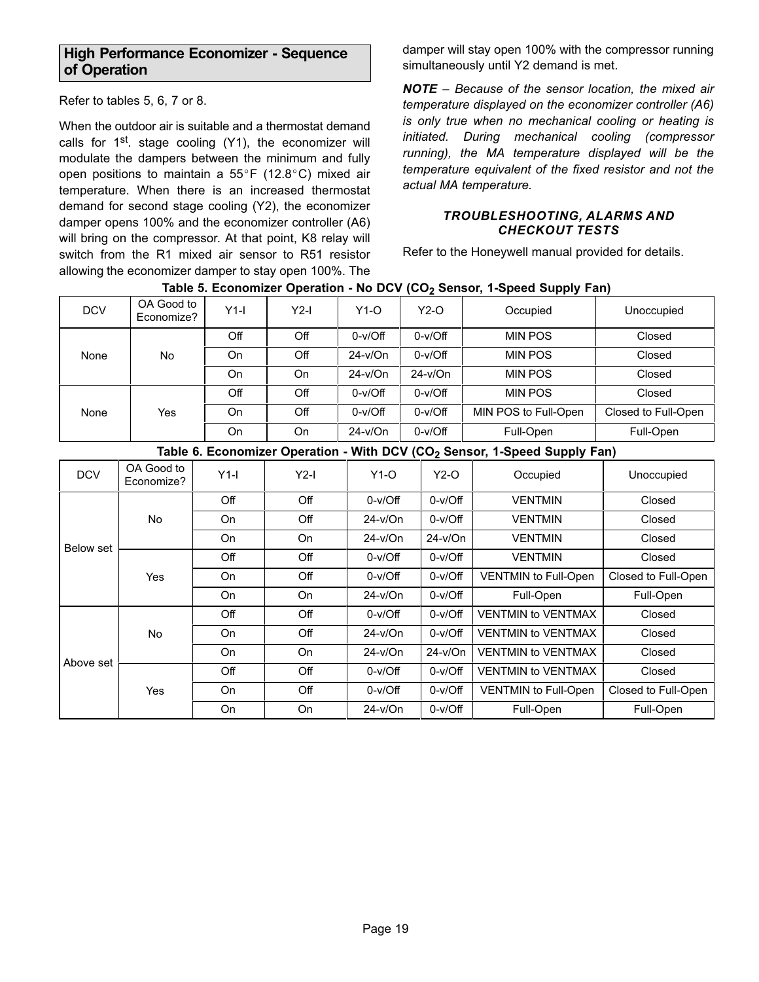## <span id="page-18-0"></span>**High Performance Economizer - Sequence of Operation**

Refer to tables 5, 6, [7](#page-19-0) or [8](#page-19-0).

When the outdoor air is suitable and a thermostat demand calls for  $1<sup>st</sup>$ . stage cooling (Y1), the economizer will modulate the dampers between the minimum and fully<br>open positions to maintain a 55°F (12.8°C) mixed air open positions to maintain a  $55^{\circ}$ F (12.8 $^{\circ}$ C) mixed air temperature. When there is an increased thermostat demand for second stage cooling (Y2), the economizer damper opens 100% and the economizer controller (A6) will bring on the compressor. At that point, K8 relay will switch from the R1 mixed air sensor to R51 resistor allowing the economizer damper to stay open 100%. The

damper will stay open 100% with the compressor running simultaneously until Y2 demand is met.

*NOTE – Because of the sensor location, the mixed air temperature displayed on the economizer controller (A6) is only true when no mechanical cooling or heating is initiated. During mechanical cooling (compressor running), the MA temperature displayed will be the temperature equivalent of the fixed resistor and not the actual MA temperature.*

### *TROUBLESHOOTING, ALARMS AND CHECKOUT TESTS*

Refer to the Honeywell manual provided for details.

| <b>DCV</b>       | OA Good to<br>Economize? | $Y1-I$    | $Y2-I$    | $Y1-O$    |           | $Y2-O$    | Occupied                                                                              | Unoccupied          |
|------------------|--------------------------|-----------|-----------|-----------|-----------|-----------|---------------------------------------------------------------------------------------|---------------------|
|                  |                          | Off       | Off       | $0-v/Off$ |           | $0-v/Off$ | <b>MIN POS</b>                                                                        | Closed              |
| None             | <b>No</b>                | On        | Off       | $24-v/On$ |           | $0-v/Off$ | <b>MIN POS</b>                                                                        | Closed              |
|                  |                          | On        | On        | $24-v/On$ |           | $24-v/On$ | <b>MIN POS</b>                                                                        | Closed              |
| None             |                          | Off       | Off       | $0-v/Off$ |           | $0-v/Off$ | <b>MIN POS</b>                                                                        | Closed              |
|                  | Yes                      | On        | Off       | $0-v/Off$ | $0-v/Off$ |           | MIN POS to Full-Open                                                                  | Closed to Full-Open |
|                  |                          | <b>On</b> | On        | $24-v/On$ | $0-v/Off$ |           | Full-Open                                                                             | Full-Open           |
|                  |                          |           |           |           |           |           | Table 6. Economizer Operation - With DCV (CO <sub>2</sub> Sensor, 1-Speed Supply Fan) |                     |
| <b>DCV</b>       | OA Good to<br>Economize? | $Y1-I$    | $Y2-I$    | $Y1-O$    |           | $Y2-O$    | Occupied                                                                              | Unoccupied          |
|                  | No                       | Off       | Off       | $0-v/Off$ |           | $0-v/Off$ | <b>VENTMIN</b>                                                                        | Closed              |
|                  |                          | On        | Off       | $24-v/On$ |           | $0-v/Off$ | <b>VENTMIN</b>                                                                        | Closed              |
|                  |                          | <b>On</b> | <b>On</b> | $24-v/On$ |           | $24-v/On$ | <b>VENTMIN</b>                                                                        | Closed              |
| <b>Below set</b> |                          | Off       | Off       | $0-v/Off$ |           | $0-v/Off$ | <b>VENTMIN</b>                                                                        | Closed              |
|                  | Yes                      | On        | Off       | $0-v/Off$ |           | $0-v/Off$ | <b>VENTMIN to Full-Open</b>                                                           | Closed to Full-Open |
|                  |                          | <b>On</b> | <b>On</b> | $24-v/On$ |           | $0-v/Off$ | Full-Open                                                                             | Full-Open           |
|                  | <b>No</b>                | Off       | Off       | $0-v/Off$ |           | $0-v/Off$ | <b>VENTMIN to VENTMAX</b>                                                             | Closed              |
| Above set        |                          | On        | Off       |           | $24-v/On$ |           | <b>VENTMIN to VENTMAX</b>                                                             | Closed              |
|                  |                          | <b>On</b> | On        | $24-v/On$ |           | $24-v/On$ | <b>VENTMIN to VENTMAX</b>                                                             | Closed              |
|                  | Yes                      | Off       | Off       | $0-v/Off$ |           | $0-v/Off$ | <b>VENTMIN to VENTMAX</b>                                                             | Closed              |
|                  |                          | On        | Off       | $0-v/Off$ |           | $0-v/Off$ | <b>VENTMIN to Full-Open</b>                                                           | Closed to Full-Open |
|                  |                          | On        | On        | $24-v/On$ |           | $0-v/Off$ | Full-Open                                                                             | Full-Open           |

## Table 5. Economizer Operation - No DCV (CO<sub>2</sub> Sensor, 1-Speed Supply Fan)